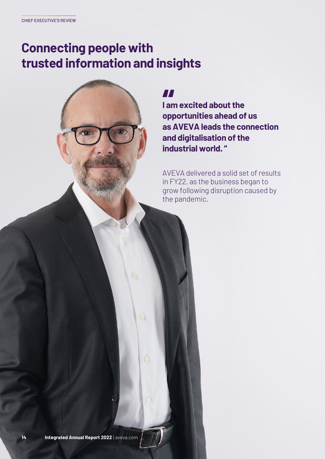# **Connecting people with trusted information and insights**

G

 $\circ$ 

 $\ddot{\circ}$ 

 $\mathbf{0}$ 

*II*<br>| am excited about the<br>opportunities ahead of us **I am excited about the as AVEVA leads the connection and digitalisation of the industrial world. "**

AVEVA delivered a solid set of results in FY22, as the business began to grow following disruption caused by the pandemic.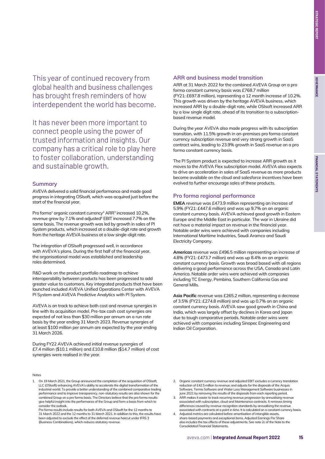This year of continued recovery from global health and business challenges has brought fresh reminders of how interdependent the world has become.

It has never been more important to connect people using the power of trusted information and insights. Our company has a critical role to play here to foster collaboration, understanding and sustainable growth.

### **Summary**

AVEVA delivered a solid financial performance and made good progress in integrating OSIsoft, which was acquired just before the start of the financial year.

Pro forma<sup>1</sup> organic constant currency<sup>2</sup> ARR<sup>3</sup> increased 10.2%, revenue grew by 7.1% and adjusted<sup>4</sup> EBIT increased 7.7% on the same basis. The revenue growth was led by growth in sales of PI System products, which increased at a double-digit rate and growth from the heritage AVEVA business at a low single-digit rate.

The integration of OSIsoft progressed well, in accordance with AVEVA's plans. During the first half of the financial year, the organisational model was established and leadership roles determined.

R&D work on the product portfolio roadmap to achieve interoperability between products has been progressed to add greater value to customers. Key integrated products that have been launched included AVEVA Unified Operations Center with AVEVA PI System and AVEVA Predictive Analytics with PI System.

AVEVA is on track to achieve both cost and revenue synergies in line with its acquisition model. Pre-tax cash cost synergies are expected of not less than \$30 million per annum on a run rate basis by the year ending 31 March 2023. Revenue synergies of at least \$100 million per annum are expected by the year ending 31 March 2026.

During FY22 AVEVA achieved initial revenue synergies of £7.4 million (\$10.1 million) and £10.8 million (\$14.7 million) of cost synergies were realised in the year.

#### Notes

1. On 19 March 2021, the Group announced the completion of the acquisition of OSIsoft, LLC (OSIsoft) enhancing AVEVA's ability to accelerate the digital transformation of the industrial world. To provide a better understanding of the combined comparative trading performance and to improve transparency, non-statutory results are also shown for the combined Group on a pro forma basis. The Directors believe that the pro forma results give helpful insight into the performance of the Group and form a basis from which to consider the outlook.

Pro forma results include results for both AVEVA and OSIsoft for the 12 months to 31 March 2022 and the 12 months to 31 March 2021. In addition to this, the results have been adjusted to exclude the effect of the deferred revenue haircut under IFRS 3 (Business Combinations), which reduces statutory revenue.

#### **ARR and business model transition**

ARR at 31 March 2022 for the combined AVEVA Group on a pro forma constant currency basis was £768.7 million (FY21: £697.8 million), representing a 12 month increase of 10.2%. This growth was driven by the heritage AVEVA business, which increased ARR by a double-digit rate, while OSIsoft increased ARR by a low single digit rate, ahead of its transition to a subscriptionbased revenue model.

During the year AVEVA also made progress with its subscription transition, with 11.5% growth in on-premises pro forma constant currency subscription revenue and very strong growth in SaaS contract wins, leading to 23.9% growth in SaaS revenue on a pro forma constant currency basis.

The PI System product is expected to increase ARR growth as it moves to the AVEVA Flex subscription model. AVEVA also expects to drive an acceleration in sales of SaaS revenue as more products become available on the cloud and salesforce incentives have been evolved to further encourage sales of these products.

## **Pro forma regional performance**

**EMEA** revenue was £473.9 million representing an increase of 5.9% (FY21: £447.6 million) and was up 9.7% on an organic constant currency basis. AVEVA achieved good growth in Eastern Europe and the Middle East in particular. The war in Ukraine did not have a material impact on revenue in the financial year. Notable order wins were achieved with companies including International Maritime Industries, Saudi Aramco and Saudi Electricity Company.

**Americas** revenue was £496.5 million representing an increase of 4.8% (FY21: £473.7 million) and was up 8.4% on an organic constant currency basis. Growth was broad based with all regions delivering a good performance across the USA, Canada and Latin America. Notable order wins were achieved with companies including TC Energy, Pembina, Southern California Gas and General Mills.

**Asia Pacific** revenue was £265.2 million, representing a decrease of 3.5% (FY21: £274.8 million) and was up 0.7% on an organic constant currency basis. AVEVA saw good growth in China and India, which was largely offset by declines in Korea and Japan due to tough comparative periods. Notable order wins were achieved with companies including Sinopec Engineering and Indian Oil Corporation.

- 2. Organic constant currency revenue and adjusted EBIT excludes a currency translation reduction of £42.5 million to revenue; and adjusts for the disposals of the Acquis Software, Termis Software and Water Loss Management Software businesses in June 2021 by removing the results of the disposals from each reporting period.
- 3. ARR makes it easier to track recurring revenue progression by annualising revenue associated with subscription, cloud and Maintenance contracts. It removes timing differences caused by revenue recognition standards by annualising the revenue associated with contracts at a point in time. It is calculated on a constant currency basis.
- Adjusted metrics are calculated before amortisation of intangible assets, share-based payments and exceptional items. Adjusted Earnings Per Share also includes the tax effects of these adjustments. See note 2c of the Note to the Consolidated Financial Statements.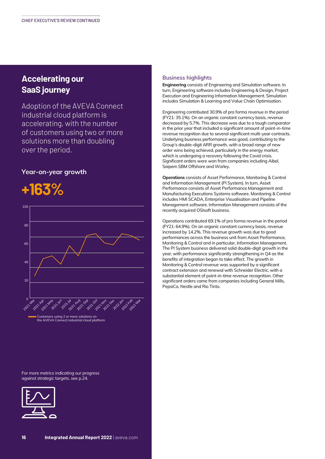# **Accelerating our SaaS journey**

Adoption of the AVEVA Connect industrial cloud platform is accelerating, with the number of customers using two or more solutions more than doubling over the period.

# **Year-on-year growth**



**Business highlights**

**Engineering** consists of Engineering and Simulation software. In turn, Engineering software includes Engineering & Design, Project Execution and Engineering Information Management. Simulation includes Simulation & Learning and Value Chain Optimisation.

Engineering contributed 30.9% of pro forma revenue in the period (FY21: 35.1%). On an organic constant currency basis, revenue decreased by 5.7%. This decrease was due to a tough comparator in the prior year that included a significant amount of point-in-time revenue recognition due to several significant multi-year contracts. Underlying business performance was good, contributing to the Group's double-digit ARR growth, with a broad range of new order wins being achieved, particularly in the energy market, which is undergoing a recovery following the Covid crisis. Significant orders were won from companies including Aibel, Saipem SBM Offshore and Worley.

**Operations** consists of Asset Performance, Monitoring & Control and Information Management (PI System). In turn, Asset Performance consists of Asset Performance Management and Manufacturing Executions Systems software. Monitoring & Control includes HMI SCADA, Enterprise Visualisation and Pipeline Management software. Information Management consists of the recently acquired OSIsoft business.

Operations contributed 69.1% of pro forma revenue in the period (FY21: 64.9%). On an organic constant currency basis, revenue increased by 14.2%. This revenue growth was due to good performances across the business unit from Asset Performance, Monitoring & Control and in particular, Information Management. The PI System business delivered solid double-digit growth in the year, with performance significantly strengthening in Q4 as the benefits of integration began to take effect. The growth in Monitoring & Control revenue was supported by a significant contract extension and renewal with Schneider Electric, with a substantial element of point-in-time revenue recognition. Other significant orders came from companies including General Mills, PepsiCo, Nestle and Rio Tinto.

For more metrics indicating our progress against strategic targets, see p.24.